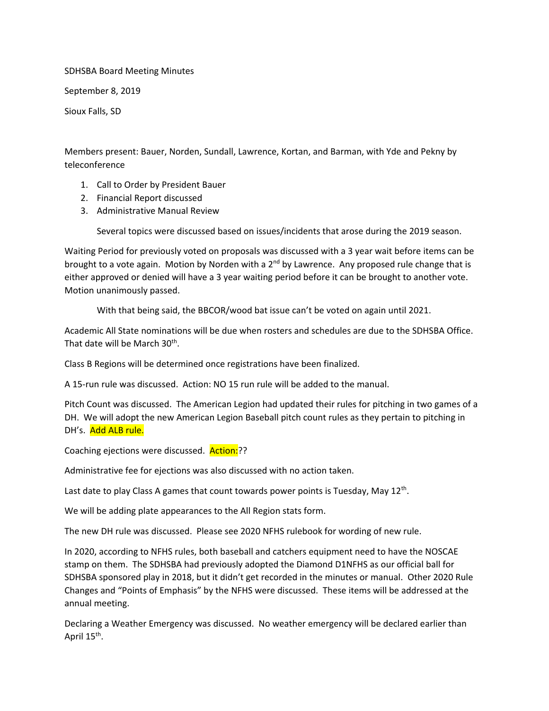## SDHSBA Board Meeting Minutes

September 8, 2019

Sioux Falls, SD

Members present: Bauer, Norden, Sundall, Lawrence, Kortan, and Barman, with Yde and Pekny by teleconference

- 1. Call to Order by President Bauer
- 2. Financial Report discussed
- 3. Administrative Manual Review

Several topics were discussed based on issues/incidents that arose during the 2019 season.

Waiting Period for previously voted on proposals was discussed with a 3 year wait before items can be brought to a vote again. Motion by Norden with a 2<sup>nd</sup> by Lawrence. Any proposed rule change that is either approved or denied will have a 3 year waiting period before it can be brought to another vote. Motion unanimously passed.

With that being said, the BBCOR/wood bat issue can't be voted on again until 2021.

Academic All State nominations will be due when rosters and schedules are due to the SDHSBA Office. That date will be March 30<sup>th</sup>.

Class B Regions will be determined once registrations have been finalized.

A 15-run rule was discussed. Action: NO 15 run rule will be added to the manual.

Pitch Count was discussed. The American Legion had updated their rules for pitching in two games of a DH. We will adopt the new American Legion Baseball pitch count rules as they pertain to pitching in DH's. Add ALB rule.

Coaching ejections were discussed. Action:??

Administrative fee for ejections was also discussed with no action taken.

Last date to play Class A games that count towards power points is Tuesday, May 12<sup>th</sup>.

We will be adding plate appearances to the All Region stats form.

The new DH rule was discussed. Please see 2020 NFHS rulebook for wording of new rule.

In 2020, according to NFHS rules, both baseball and catchers equipment need to have the NOSCAE stamp on them. The SDHSBA had previously adopted the Diamond D1NFHS as our official ball for SDHSBA sponsored play in 2018, but it didn't get recorded in the minutes or manual. Other 2020 Rule Changes and "Points of Emphasis" by the NFHS were discussed. These items will be addressed at the annual meeting.

Declaring a Weather Emergency was discussed. No weather emergency will be declared earlier than April 15<sup>th</sup>.